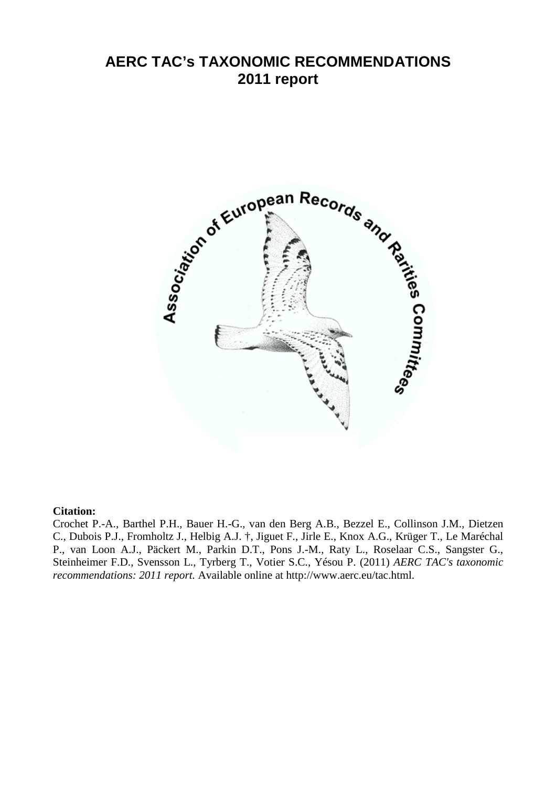# **AERC TAC's TAXONOMIC RECOMMENDATIONS 2011 report**



## **Citation:**

Crochet P.-A., Barthel P.H., Bauer H.-G., van den Berg A.B., Bezzel E., Collinson J.M., Dietzen C., Dubois P.J., Fromholtz J., Helbig A.J. †, Jiguet F., Jirle E., Knox A.G., Krüger T., Le Maréchal P., van Loon A.J., Päckert M., Parkin D.T., Pons J.-M., Raty L., Roselaar C.S., Sangster G., Steinheimer F.D., Svensson L., Tyrberg T., Votier S.C., Yésou P. (2011) *AERC TAC's taxonomic recommendations: 2011 report.* Available online at http://www.aerc.eu/tac.html.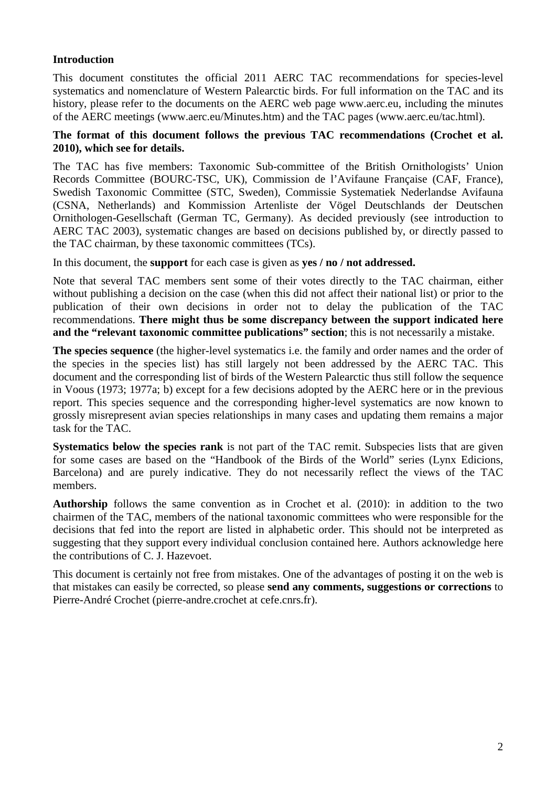# **Introduction**

This document constitutes the official 2011 AERC TAC recommendations for species-level systematics and nomenclature of Western Palearctic birds. For full information on the TAC and its history, please refer to the documents on the AERC web page www.aerc.eu, including the minutes of the AERC meetings (www.aerc.eu/Minutes.htm) and the TAC pages (www.aerc.eu/tac.html).

## **The format of this document follows the previous TAC recommendations (Crochet et al. 2010), which see for details.**

The TAC has five members: Taxonomic Sub-committee of the British Ornithologists' Union Records Committee (BOURC-TSC, UK), Commission de l'Avifaune Française (CAF, France), Swedish Taxonomic Committee (STC, Sweden), Commissie Systematiek Nederlandse Avifauna (CSNA, Netherlands) and Kommission Artenliste der Vögel Deutschlands der Deutschen Ornithologen-Gesellschaft (German TC, Germany). As decided previously (see introduction to AERC TAC 2003), systematic changes are based on decisions published by, or directly passed to the TAC chairman, by these taxonomic committees (TCs).

In this document, the **support** for each case is given as **yes / no / not addressed.** 

Note that several TAC members sent some of their votes directly to the TAC chairman, either without publishing a decision on the case (when this did not affect their national list) or prior to the publication of their own decisions in order not to delay the publication of the TAC recommendations. **There might thus be some discrepancy between the support indicated here and the "relevant taxonomic committee publications" section**; this is not necessarily a mistake.

**The species sequence** (the higher-level systematics i.e. the family and order names and the order of the species in the species list) has still largely not been addressed by the AERC TAC. This document and the corresponding list of birds of the Western Palearctic thus still follow the sequence in Voous (1973; 1977a; b) except for a few decisions adopted by the AERC here or in the previous report. This species sequence and the corresponding higher-level systematics are now known to grossly misrepresent avian species relationships in many cases and updating them remains a major task for the TAC.

**Systematics below the species rank** is not part of the TAC remit. Subspecies lists that are given for some cases are based on the "Handbook of the Birds of the World" series (Lynx Edicions, Barcelona) and are purely indicative. They do not necessarily reflect the views of the TAC members.

**Authorship** follows the same convention as in Crochet et al. (2010): in addition to the two chairmen of the TAC, members of the national taxonomic committees who were responsible for the decisions that fed into the report are listed in alphabetic order. This should not be interpreted as suggesting that they support every individual conclusion contained here. Authors acknowledge here the contributions of C. J. Hazevoet.

This document is certainly not free from mistakes. One of the advantages of posting it on the web is that mistakes can easily be corrected, so please **send any comments, suggestions or corrections** to Pierre-André Crochet (pierre-andre.crochet at cefe.cnrs.fr).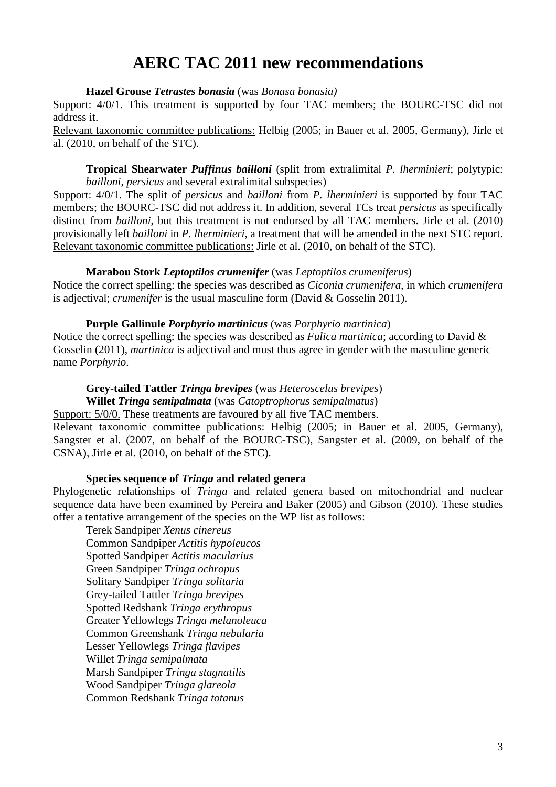# **AERC TAC 2011 new recommendations**

**Hazel Grouse** *Tetrastes bonasia* (was *Bonasa bonasia)*

Support:  $4/0/1$ . This treatment is supported by four TAC members; the BOURC-TSC did not address it.

Relevant taxonomic committee publications: Helbig (2005; in Bauer et al. 2005, Germany), Jirle et al. (2010, on behalf of the STC).

**Tropical Shearwater** *Puffinus bailloni* (split from extralimital *P. lherminieri*; polytypic: *bailloni*, *persicus* and several extralimital subspecies)

Support: 4/0/1. The split of *persicus* and *bailloni* from *P. lherminieri* is supported by four TAC members; the BOURC-TSC did not address it. In addition, several TCs treat *persicus* as specifically distinct from *bailloni*, but this treatment is not endorsed by all TAC members. Jirle et al. (2010) provisionally left *bailloni* in *P. lherminieri*, a treatment that will be amended in the next STC report. Relevant taxonomic committee publications: Jirle et al. (2010, on behalf of the STC).

#### **Marabou Stork** *Leptoptilos crumenifer* (was *Leptoptilos crumeniferus*)

Notice the correct spelling: the species was described as *Ciconia crumenifera*, in which *crumenifera* is adjectival; *crumenifer* is the usual masculine form (David & Gosselin 2011).

#### **Purple Gallinule** *Porphyrio martinicus* (was *Porphyrio martinica*)

Notice the correct spelling: the species was described as *Fulica martinica*; according to David & Gosselin (2011), *martinica* is adjectival and must thus agree in gender with the masculine generic name *Porphyrio*.

# **Grey-tailed Tattler** *Tringa brevipes* (was *Heteroscelus brevipes*)

**Willet** *Tringa semipalmata* (was *Catoptrophorus semipalmatus*)

Support: 5/0/0. These treatments are favoured by all five TAC members. Relevant taxonomic committee publications: Helbig (2005; in Bauer et al. 2005, Germany), Sangster et al. (2007, on behalf of the BOURC-TSC), Sangster et al. (2009, on behalf of the CSNA), Jirle et al. (2010, on behalf of the STC).

## **Species sequence of** *Tringa* **and related genera**

Phylogenetic relationships of *Tringa* and related genera based on mitochondrial and nuclear sequence data have been examined by Pereira and Baker (2005) and Gibson (2010). These studies offer a tentative arrangement of the species on the WP list as follows:

Terek Sandpiper *Xenus cinereus* Common Sandpiper *Actitis hypoleucos* Spotted Sandpiper *Actitis macularius* Green Sandpiper *Tringa ochropus* Solitary Sandpiper *Tringa solitaria* Grey-tailed Tattler *Tringa brevipes* Spotted Redshank *Tringa erythropus*  Greater Yellowlegs *Tringa melanoleuca*  Common Greenshank *Tringa nebularia*  Lesser Yellowlegs *Tringa flavipes*  Willet *Tringa semipalmata*  Marsh Sandpiper *Tringa stagnatilis*  Wood Sandpiper *Tringa glareola* Common Redshank *Tringa totanus*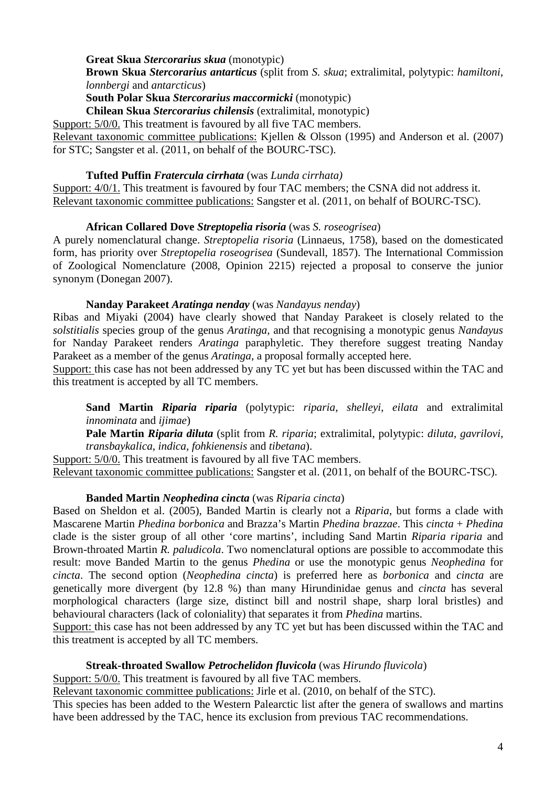## **Great Skua** *Stercorarius skua* (monotypic)

**Brown Skua** *Stercorarius antarticus* (split from *S. skua*; extralimital, polytypic: *hamiltoni*, *lonnbergi* and *antarcticus*)

**South Polar Skua** *Stercorarius maccormicki* (monotypic)

**Chilean Skua** *Stercorarius chilensis* (extralimital, monotypic)

Support: 5/0/0. This treatment is favoured by all five TAC members.

Relevant taxonomic committee publications: Kjellen & Olsson (1995) and Anderson et al. (2007) for STC; Sangster et al. (2011, on behalf of the BOURC-TSC).

## **Tufted Puffin** *Fratercula cirrhata* (was *Lunda cirrhata)*

Support: 4/0/1. This treatment is favoured by four TAC members; the CSNA did not address it. Relevant taxonomic committee publications: Sangster et al. (2011, on behalf of BOURC-TSC).

# **African Collared Dove** *Streptopelia risoria* (was *S. roseogrisea*)

A purely nomenclatural change. *Streptopelia risoria* (Linnaeus, 1758), based on the domesticated form, has priority over *Streptopelia roseogrisea* (Sundevall, 1857). The International Commission of Zoological Nomenclature (2008, Opinion 2215) rejected a proposal to conserve the junior synonym (Donegan 2007).

## **Nanday Parakeet** *Aratinga nenday* (was *Nandayus nenday*)

Ribas and Miyaki (2004) have clearly showed that Nanday Parakeet is closely related to the *solstitialis* species group of the genus *Aratinga*, and that recognising a monotypic genus *Nandayus* for Nanday Parakeet renders *Aratinga* paraphyletic. They therefore suggest treating Nanday Parakeet as a member of the genus *Aratinga*, a proposal formally accepted here.

Support: this case has not been addressed by any TC yet but has been discussed within the TAC and this treatment is accepted by all TC members.

**Sand Martin** *Riparia riparia* (polytypic: *riparia*, *shelleyi*, *eilata* and extralimital *innominata* and *ijimae*)

**Pale Martin** *Riparia diluta* (split from *R. riparia*; extralimital, polytypic: *diluta*, *gavrilovi*, *transbaykalica*, *indica*, *fohkienensis* and *tibetana*).

Support: 5/0/0. This treatment is favoured by all five TAC members. Relevant taxonomic committee publications: Sangster et al. (2011, on behalf of the BOURC-TSC).

## **Banded Martin** *Neophedina cincta* (was *Riparia cincta*)

Based on Sheldon et al. (2005), Banded Martin is clearly not a *Riparia*, but forms a clade with Mascarene Martin *Phedina borbonica* and Brazza's Martin *Phedina brazzae*. This *cincta* + *Phedina*  clade is the sister group of all other 'core martins', including Sand Martin *Riparia riparia* and Brown-throated Martin *R. paludicola*. Two nomenclatural options are possible to accommodate this result: move Banded Martin to the genus *Phedina* or use the monotypic genus *Neophedina* for *cincta*. The second option (*Neophedina cincta*) is preferred here as *borbonica* and *cincta* are genetically more divergent (by 12.8 %) than many Hirundinidae genus and *cincta* has several morphological characters (large size, distinct bill and nostril shape, sharp loral bristles) and behavioural characters (lack of coloniality) that separates it from *Phedina* martins.

Support: this case has not been addressed by any TC yet but has been discussed within the TAC and this treatment is accepted by all TC members.

## **Streak-throated Swallow** *Petrochelidon fluvicola* (was *Hirundo fluvicola*)

Support: 5/0/0. This treatment is favoured by all five TAC members.

Relevant taxonomic committee publications: Jirle et al. (2010, on behalf of the STC).

This species has been added to the Western Palearctic list after the genera of swallows and martins have been addressed by the TAC, hence its exclusion from previous TAC recommendations.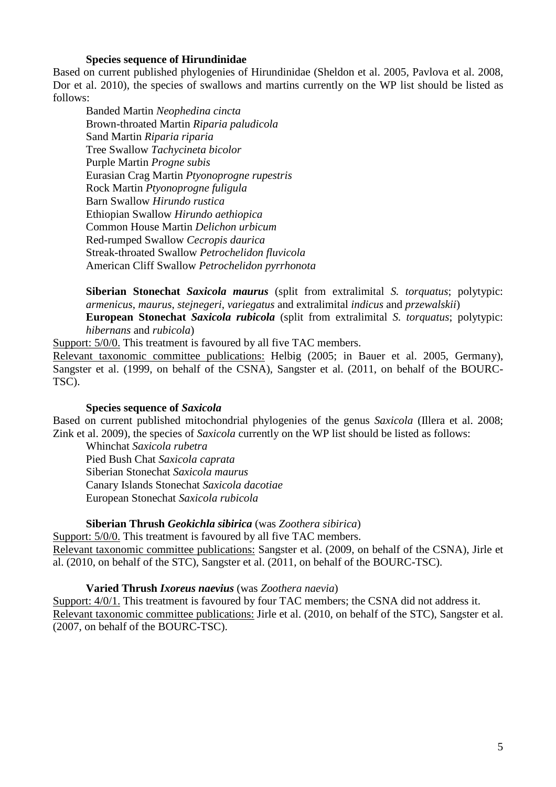## **Species sequence of Hirundinidae**

Based on current published phylogenies of Hirundinidae (Sheldon et al. 2005, Pavlova et al. 2008, Dor et al. 2010), the species of swallows and martins currently on the WP list should be listed as follows:

Banded Martin *Neophedina cincta* Brown-throated Martin *Riparia paludicola* Sand Martin *Riparia riparia* Tree Swallow *Tachycineta bicolor* Purple Martin *Progne subis* Eurasian Crag Martin *Ptyonoprogne rupestris*  Rock Martin *Ptyonoprogne fuligula*  Barn Swallow *Hirundo rustica* Ethiopian Swallow *Hirundo aethiopica* Common House Martin *Delichon urbicum* Red-rumped Swallow *Cecropis daurica* Streak-throated Swallow *Petrochelidon fluvicola* American Cliff Swallow *Petrochelidon pyrrhonota*

**Siberian Stonechat** *Saxicola maurus* (split from extralimital *S. torquatus*; polytypic: *armenicus*, *maurus*, *stejnegeri*, *variegatus* and extralimital *indicus* and *przewalskii*) **European Stonechat** *Saxicola rubicola* (split from extralimital *S. torquatus*; polytypic: *hibernans* and *rubicola*)

Support: 5/0/0. This treatment is favoured by all five TAC members. Relevant taxonomic committee publications: Helbig (2005; in Bauer et al. 2005, Germany), Sangster et al. (1999, on behalf of the CSNA), Sangster et al. (2011, on behalf of the BOURC-TSC).

## **Species sequence of** *Saxicola*

Based on current published mitochondrial phylogenies of the genus *Saxicola* (Illera et al. 2008; Zink et al. 2009), the species of *Saxicola* currently on the WP list should be listed as follows:

Whinchat *Saxicola rubetra* Pied Bush Chat *Saxicola caprata* Siberian Stonechat *Saxicola maurus* Canary Islands Stonechat *Saxicola dacotiae* European Stonechat *Saxicola rubicola*

#### **Siberian Thrush** *Geokichla sibirica* (was *Zoothera sibirica*)

Support:  $5/0/0$ . This treatment is favoured by all five TAC members. Relevant taxonomic committee publications: Sangster et al. (2009, on behalf of the CSNA), Jirle et

al. (2010, on behalf of the STC), Sangster et al. (2011, on behalf of the BOURC-TSC).

#### **Varied Thrush** *Ixoreus naevius* (was *Zoothera naevia*)

Support: 4/0/1. This treatment is favoured by four TAC members; the CSNA did not address it. Relevant taxonomic committee publications: Jirle et al. (2010, on behalf of the STC), Sangster et al. (2007, on behalf of the BOURC-TSC).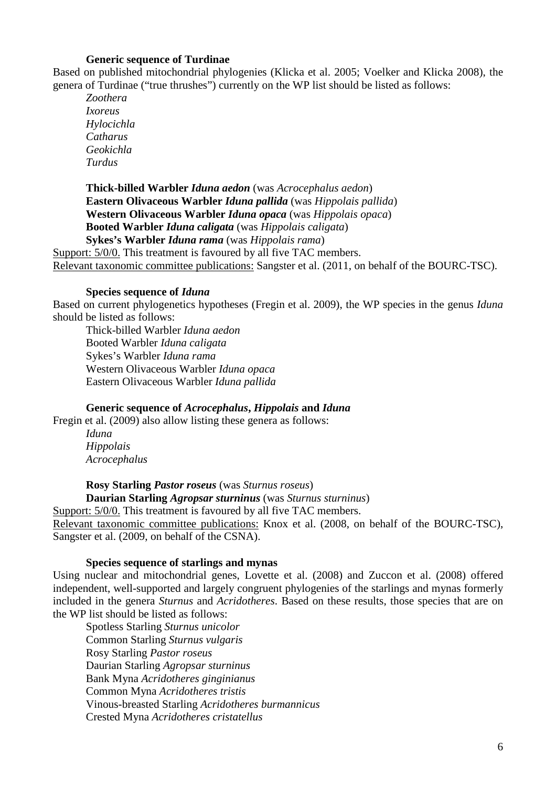## **Generic sequence of Turdinae**

Based on published mitochondrial phylogenies (Klicka et al. 2005; Voelker and Klicka 2008), the genera of Turdinae ("true thrushes") currently on the WP list should be listed as follows:

*Zoothera Ixoreus Hylocichla Catharus Geokichla Turdus* 

**Thick-billed Warbler** *Iduna aedon* (was *Acrocephalus aedon*) **Eastern Olivaceous Warbler** *Iduna pallida* (was *Hippolais pallida*) **Western Olivaceous Warbler** *Iduna opaca* (was *Hippolais opaca*) **Booted Warbler** *Iduna caligata* (was *Hippolais caligata*) **Sykes's Warbler** *Iduna rama* (was *Hippolais rama*)

Support:  $5/0/0$ . This treatment is favoured by all five TAC members. Relevant taxonomic committee publications: Sangster et al. (2011, on behalf of the BOURC-TSC).

#### **Species sequence of** *Iduna*

Based on current phylogenetics hypotheses (Fregin et al. 2009), the WP species in the genus *Iduna* should be listed as follows:

Thick-billed Warbler *Iduna aedon* Booted Warbler *Iduna caligata* Sykes's Warbler *Iduna rama* Western Olivaceous Warbler *Iduna opaca* Eastern Olivaceous Warbler *Iduna pallida* 

**Generic sequence of** *Acrocephalus***,** *Hippolais* **and** *Iduna*

Fregin et al. (2009) also allow listing these genera as follows:

*Iduna Hippolais Acrocephalus* 

**Rosy Starling** *Pastor roseus* (was *Sturnus roseus*)

**Daurian Starling** *Agropsar sturninus* (was *Sturnus sturninus*)

Support:  $5/0/0$ . This treatment is favoured by all five TAC members. Relevant taxonomic committee publications: Knox et al. (2008, on behalf of the BOURC-TSC), Sangster et al. (2009, on behalf of the CSNA).

#### **Species sequence of starlings and mynas**

Using nuclear and mitochondrial genes, Lovette et al. (2008) and Zuccon et al. (2008) offered independent, well-supported and largely congruent phylogenies of the starlings and mynas formerly included in the genera *Sturnus* and *Acridotheres*. Based on these results, those species that are on the WP list should be listed as follows:

Spotless Starling *Sturnus unicolor*  Common Starling *Sturnus vulgaris*  Rosy Starling *Pastor roseus*  Daurian Starling *Agropsar sturninus*  Bank Myna *Acridotheres ginginianus*  Common Myna *Acridotheres tristis*  Vinous-breasted Starling *Acridotheres burmannicus*  Crested Myna *Acridotheres cristatellus*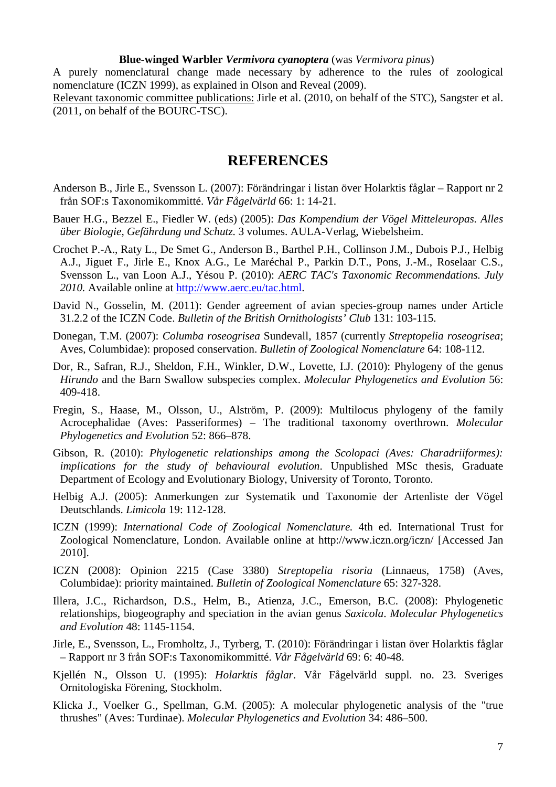#### **Blue-winged Warbler** *Vermivora cyanoptera* (was *Vermivora pinus*)

A purely nomenclatural change made necessary by adherence to the rules of zoological nomenclature (ICZN 1999), as explained in Olson and Reveal (2009).

Relevant taxonomic committee publications: Jirle et al. (2010, on behalf of the STC), Sangster et al. (2011, on behalf of the BOURC-TSC).

# **REFERENCES**

- Anderson B., Jirle E., Svensson L. (2007): Förändringar i listan över Holarktis fåglar Rapport nr 2 från SOF:s Taxonomikommitté. *Vår Fågelvärld* 66: 1: 14-21.
- Bauer H.G., Bezzel E., Fiedler W. (eds) (2005): *Das Kompendium der Vögel Mitteleuropas. Alles über Biologie, Gefährdung und Schutz.* 3 volumes. AULA-Verlag, Wiebelsheim.
- Crochet P.-A., Raty L., De Smet G., Anderson B., Barthel P.H., Collinson J.M., Dubois P.J., Helbig A.J., Jiguet F., Jirle E., Knox A.G., Le Maréchal P., Parkin D.T., Pons, J.-M., Roselaar C.S., Svensson L., van Loon A.J., Yésou P. (2010): *AERC TAC's Taxonomic Recommendations. July 2010.* Available online at http://www.aerc.eu/tac.html.
- David N., Gosselin, M. (2011): Gender agreement of avian species-group names under Article 31.2.2 of the ICZN Code. *Bulletin of the British Ornithologists' Club* 131: 103-115.
- Donegan, T.M. (2007): *Columba roseogrisea* Sundevall, 1857 (currently *Streptopelia roseogrisea*; Aves, Columbidae): proposed conservation. *Bulletin of Zoological Nomenclature* 64: 108-112.
- Dor, R., Safran, R.J., Sheldon, F.H., Winkler, D.W., Lovette, I.J. (2010): Phylogeny of the genus *Hirundo* and the Barn Swallow subspecies complex. *Molecular Phylogenetics and Evolution* 56: 409-418.
- Fregin, S., Haase, M., Olsson, U., Alström, P. (2009): Multilocus phylogeny of the family Acrocephalidae (Aves: Passeriformes) – The traditional taxonomy overthrown. *Molecular Phylogenetics and Evolution* 52: 866–878.
- Gibson, R. (2010): *Phylogenetic relationships among the Scolopaci (Aves: Charadriiformes): implications for the study of behavioural evolution*. Unpublished MSc thesis, Graduate Department of Ecology and Evolutionary Biology, University of Toronto, Toronto.
- Helbig A.J. (2005): Anmerkungen zur Systematik und Taxonomie der Artenliste der Vögel Deutschlands. *Limicola* 19: 112-128.
- ICZN (1999): *International Code of Zoological Nomenclature.* 4th ed. International Trust for Zoological Nomenclature, London. Available online at http://www.iczn.org/iczn/ [Accessed Jan 2010].
- ICZN (2008): Opinion 2215 (Case 3380) *Streptopelia risoria* (Linnaeus, 1758) (Aves, Columbidae): priority maintained. *Bulletin of Zoological Nomenclature* 65: 327-328.
- Illera, J.C., Richardson, D.S., Helm, B., Atienza, J.C., Emerson, B.C. (2008): Phylogenetic relationships, biogeography and speciation in the avian genus *Saxicola*. *Molecular Phylogenetics and Evolution* 48: 1145-1154.
- Jirle, E., Svensson, L., Fromholtz, J., Tyrberg, T. (2010): Förändringar i listan över Holarktis fåglar – Rapport nr 3 från SOF:s Taxonomikommitté. *Vår Fågelvärld* 69: 6: 40-48.
- Kjellén N., Olsson U. (1995): *Holarktis fåglar*. Vår Fågelvärld suppl. no. 23. Sveriges Ornitologiska Förening, Stockholm.
- Klicka J., Voelker G., Spellman, G.M. (2005): A molecular phylogenetic analysis of the "true thrushes" (Aves: Turdinae). *Molecular Phylogenetics and Evolution* 34: 486–500.